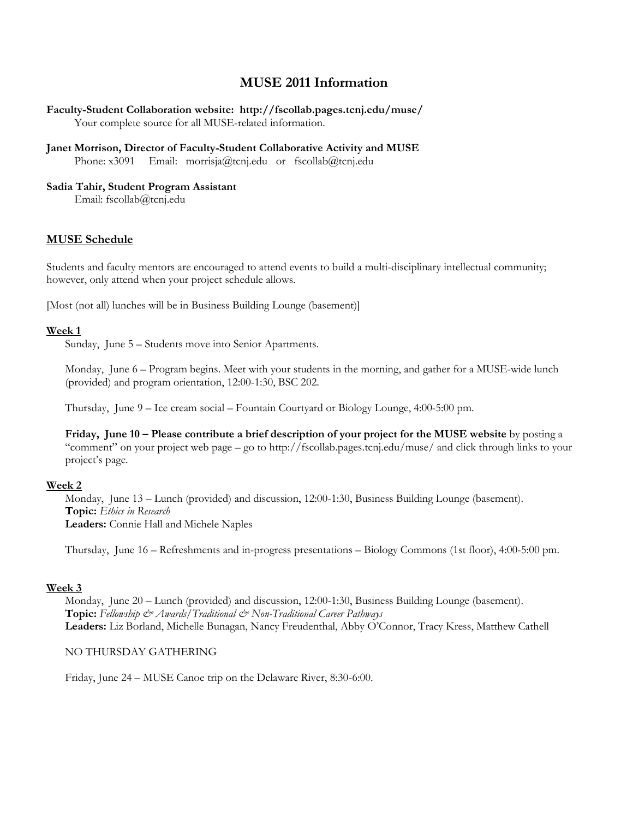# **MUSE 2011 Information**

## **Faculty-Student Collaboration website: http://fscollab.pages.tcnj.edu/muse/** Your complete source for all MUSE-related information.

#### **Janet Morrison, Director of Faculty-Student Collaborative Activity and MUSE** Phone: x3091 Email: morrisja@tcnj.edu or fscollab@tcnj.edu

### **Sadia Tahir, Student Program Assistant**

Email: fscollab@tcnj.edu

# **MUSE Schedule**

Students and faculty mentors are encouraged to attend events to build a multi-disciplinary intellectual community; however, only attend when your project schedule allows.

[Most (not all) lunches will be in Business Building Lounge (basement)]

### **Week 1**

Sunday, June 5 – Students move into Senior Apartments.

Monday, June 6 – Program begins. Meet with your students in the morning, and gather for a MUSE-wide lunch (provided) and program orientation, 12:00-1:30, BSC 202.

Thursday, June 9 – Ice cream social – Fountain Courtyard or Biology Lounge, 4:00-5:00 pm.

**Friday, June 10 – Please contribute a brief description of your project for the MUSE website** by posting a "comment" on your project web page – go to http://fscollab.pages.tcnj.edu/muse/ and click through links to your project's page.

## **Week 2**

Monday, June 13 – Lunch (provided) and discussion, 12:00-1:30, Business Building Lounge (basement). **Topic:** *Ethics in Research* **Leaders:** Connie Hall and Michele Naples

Thursday, June 16 – Refreshments and in-progress presentations – Biology Commons (1st floor), 4:00-5:00 pm.

## **Week 3**

Monday, June 20 – Lunch (provided) and discussion, 12:00-1:30, Business Building Lounge (basement). **Topic:** Fellowship  $\mathcal{Q}$  Awards/Traditional  $\mathcal{Q}$  Non-Traditional Career Pathways **Leaders:** Liz Borland, Michelle Bunagan, Nancy Freudenthal, Abby O'Connor, Tracy Kress, Matthew Cathell

## NO THURSDAY GATHERING

Friday, June 24 – MUSE Canoe trip on the Delaware River, 8:30-6:00.